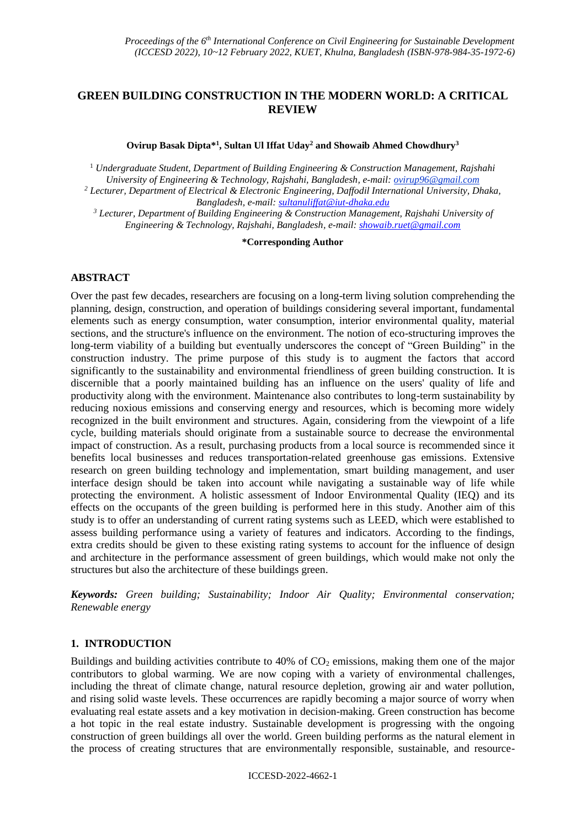# **GREEN BUILDING CONSTRUCTION IN THE MODERN WORLD: A CRITICAL REVIEW**

**Ovirup Basak Dipta\* 1 , Sultan Ul Iffat Uday<sup>2</sup> and Showaib Ahmed Chowdhury<sup>3</sup>**

<sup>1</sup> *Undergraduate Student, Department of Building Engineering & Construction Management, Rajshahi University of Engineering & Technology, Rajshahi, Bangladesh, e-mail: ovirup96@gmail.com <sup>2</sup> Lecturer, Department of Electrical & Electronic Engineering, Daffodil International University, Dhaka, Bangladesh, e-mail: [sultanuliffat@iut-dhaka.edu](mailto:sultanuliffat@iut-dhaka.edu)*

*<sup>3</sup> Lecturer, Department of Building Engineering & Construction Management, Rajshahi University of* 

*Engineering & Technology, Rajshahi, Bangladesh, e-mail: [showaib.ruet@gmail.com](mailto:showaib.ruet@gmail.com)*

**\*Corresponding Author**

# **ABSTRACT**

Over the past few decades, researchers are focusing on a long-term living solution comprehending the planning, design, construction, and operation of buildings considering several important, fundamental elements such as energy consumption, water consumption, interior environmental quality, material sections, and the structure's influence on the environment. The notion of eco-structuring improves the long-term viability of a building but eventually underscores the concept of "Green Building" in the construction industry. The prime purpose of this study is to augment the factors that accord significantly to the sustainability and environmental friendliness of green building construction. It is discernible that a poorly maintained building has an influence on the users' quality of life and productivity along with the environment. Maintenance also contributes to long-term sustainability by reducing noxious emissions and conserving energy and resources, which is becoming more widely recognized in the built environment and structures. Again, considering from the viewpoint of a life cycle, building materials should originate from a sustainable source to decrease the environmental impact of construction. As a result, purchasing products from a local source is recommended since it benefits local businesses and reduces transportation-related greenhouse gas emissions. Extensive research on green building technology and implementation, smart building management, and user interface design should be taken into account while navigating a sustainable way of life while protecting the environment. A holistic assessment of Indoor Environmental Quality (IEQ) and its effects on the occupants of the green building is performed here in this study. Another aim of this study is to offer an understanding of current rating systems such as LEED, which were established to assess building performance using a variety of features and indicators. According to the findings, extra credits should be given to these existing rating systems to account for the influence of design and architecture in the performance assessment of green buildings, which would make not only the structures but also the architecture of these buildings green.

*Keywords: Green building; Sustainability; Indoor Air Quality; Environmental conservation; Renewable energy*

# **1. INTRODUCTION**

Buildings and building activities contribute to 40% of  $CO<sub>2</sub>$  emissions, making them one of the major contributors to global warming. We are now coping with a variety of environmental challenges, including the threat of climate change, natural resource depletion, growing air and water pollution, and rising solid waste levels. These occurrences are rapidly becoming a major source of worry when evaluating real estate assets and a key motivation in decision-making. Green construction has become a hot topic in the real estate industry. Sustainable development is progressing with the ongoing construction of green buildings all over the world. Green building performs as the natural element in the process of creating structures that are environmentally responsible, sustainable, and resource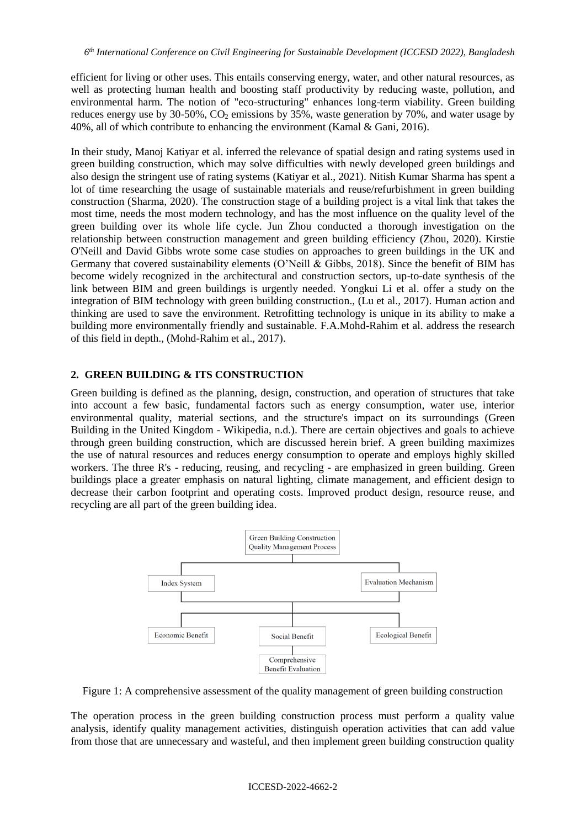efficient for living or other uses. This entails conserving energy, water, and other natural resources, as well as protecting human health and boosting staff productivity by reducing waste, pollution, and environmental harm. The notion of "eco-structuring" enhances long-term viability. Green building reduces energy use by  $30-50\%$ , CO<sub>2</sub> emissions by  $35\%$ , waste generation by 70%, and water usage by 40%, all of which contribute to enhancing the environment (Kamal & Gani, 2016).

In their study, Manoj Katiyar et al. inferred the relevance of spatial design and rating systems used in green building construction, which may solve difficulties with newly developed green buildings and also design the stringent use of rating systems (Katiyar et al., 2021). Nitish Kumar Sharma has spent a lot of time researching the usage of sustainable materials and reuse/refurbishment in green building construction (Sharma, 2020). The construction stage of a building project is a vital link that takes the most time, needs the most modern technology, and has the most influence on the quality level of the green building over its whole life cycle. Jun Zhou conducted a thorough investigation on the relationship between construction management and green building efficiency (Zhou, 2020). Kirstie O'Neill and David Gibbs wrote some case studies on approaches to green buildings in the UK and Germany that covered sustainability elements (O'Neill & Gibbs, 2018). Since the benefit of BIM has become widely recognized in the architectural and construction sectors, up-to-date synthesis of the link between BIM and green buildings is urgently needed. Yongkui Li et al. offer a study on the integration of BIM technology with green building construction., (Lu et al., 2017). Human action and thinking are used to save the environment. Retrofitting technology is unique in its ability to make a building more environmentally friendly and sustainable. F.A.Mohd-Rahim et al. address the research of this field in depth., (Mohd-Rahim et al., 2017).

# **2. GREEN BUILDING & ITS CONSTRUCTION**

Green building is defined as the planning, design, construction, and operation of structures that take into account a few basic, fundamental factors such as energy consumption, water use, interior environmental quality, material sections, and the structure's impact on its surroundings (Green Building in the United Kingdom - Wikipedia, n.d.). There are certain objectives and goals to achieve through green building construction, which are discussed herein brief. A green building maximizes the use of natural resources and reduces energy consumption to operate and employs highly skilled workers. The three R's - reducing, reusing, and recycling - are emphasized in green building. Green buildings place a greater emphasis on natural lighting, climate management, and efficient design to decrease their carbon footprint and operating costs. Improved product design, resource reuse, and recycling are all part of the green building idea.



Figure 1: A comprehensive assessment of the quality management of green building construction

The operation process in the green building construction process must perform a quality value analysis, identify quality management activities, distinguish operation activities that can add value from those that are unnecessary and wasteful, and then implement green building construction quality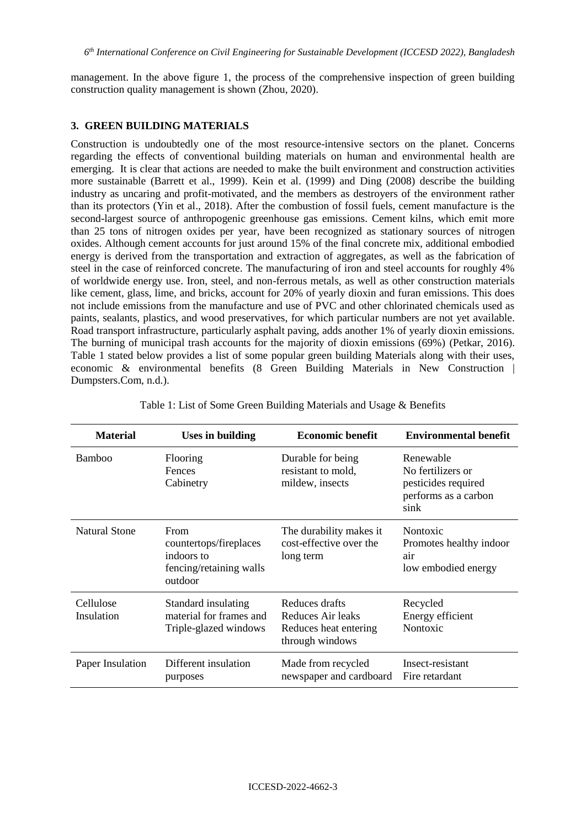management. In the above figure 1, the process of the comprehensive inspection of green building construction quality management is shown (Zhou, 2020).

### **3. GREEN BUILDING MATERIALS**

Construction is undoubtedly one of the most resource-intensive sectors on the planet. Concerns regarding the effects of conventional building materials on human and environmental health are emerging. It is clear that actions are needed to make the built environment and construction activities more sustainable (Barrett et al., 1999). Kein et al. (1999) and Ding (2008) describe the building industry as uncaring and profit-motivated, and the members as destroyers of the environment rather than its protectors (Yin et al., 2018). After the combustion of fossil fuels, cement manufacture is the second-largest source of anthropogenic greenhouse gas emissions. Cement kilns, which emit more than 25 tons of nitrogen oxides per year, have been recognized as stationary sources of nitrogen oxides. Although cement accounts for just around 15% of the final concrete mix, additional embodied energy is derived from the transportation and extraction of aggregates, as well as the fabrication of steel in the case of reinforced concrete. The manufacturing of iron and steel accounts for roughly 4% of worldwide energy use. Iron, steel, and non-ferrous metals, as well as other construction materials like cement, glass, lime, and bricks, account for 20% of yearly dioxin and furan emissions. This does not include emissions from the manufacture and use of PVC and other chlorinated chemicals used as paints, sealants, plastics, and wood preservatives, for which particular numbers are not yet available. Road transport infrastructure, particularly asphalt paving, adds another 1% of yearly dioxin emissions. The burning of municipal trash accounts for the majority of dioxin emissions (69%) (Petkar, 2016). Table 1 stated below provides a list of some popular green building Materials along with their uses, economic & environmental benefits (8 Green Building Materials in New Construction | Dumpsters.Com, n.d.).

| <b>Material</b>         | <b>Uses in building</b>                                                            | <b>Economic benefit</b>                                                         | <b>Environmental benefit</b>                                                          |
|-------------------------|------------------------------------------------------------------------------------|---------------------------------------------------------------------------------|---------------------------------------------------------------------------------------|
| <b>Bamboo</b>           | Flooring<br>Fences<br>Cabinetry                                                    | Durable for being<br>resistant to mold,<br>mildew, insects                      | Renewable<br>No fertilizers or<br>pesticides required<br>performs as a carbon<br>sink |
| <b>Natural Stone</b>    | From<br>countertops/fireplaces<br>indoors to<br>fencing/retaining walls<br>outdoor | The durability makes it<br>cost-effective over the<br>long term                 | Nontoxic<br>Promotes healthy indoor<br>air<br>low embodied energy                     |
| Cellulose<br>Insulation | Standard insulating<br>material for frames and<br>Triple-glazed windows            | Reduces drafts<br>Reduces Air leaks<br>Reduces heat entering<br>through windows | Recycled<br>Energy efficient<br>Nontoxic                                              |
| Paper Insulation        | Different insulation<br>purposes                                                   | Made from recycled<br>newspaper and cardboard                                   | Insect-resistant<br>Fire retardant                                                    |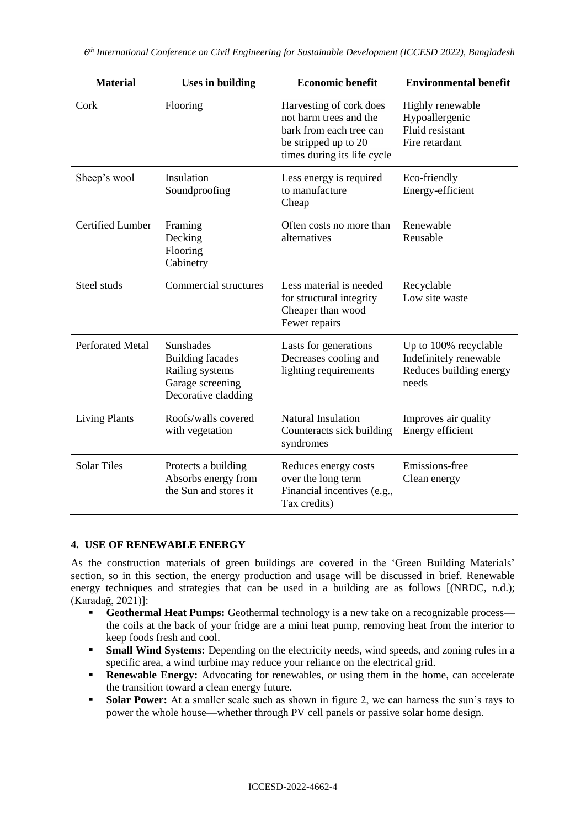| <b>Material</b>         | <b>Uses in building</b>                                                                                   | <b>Economic benefit</b>                                                                                                             | <b>Environmental benefit</b>                                                        |
|-------------------------|-----------------------------------------------------------------------------------------------------------|-------------------------------------------------------------------------------------------------------------------------------------|-------------------------------------------------------------------------------------|
| Cork                    | Flooring                                                                                                  | Harvesting of cork does<br>not harm trees and the<br>bark from each tree can<br>be stripped up to 20<br>times during its life cycle | Highly renewable<br>Hypoallergenic<br>Fluid resistant<br>Fire retardant             |
| Sheep's wool            | Insulation<br>Soundproofing                                                                               | Less energy is required<br>to manufacture<br>Cheap                                                                                  | Eco-friendly<br>Energy-efficient                                                    |
| <b>Certified Lumber</b> | Framing<br>Decking<br>Flooring<br>Cabinetry                                                               | Often costs no more than<br>alternatives                                                                                            | Renewable<br>Reusable                                                               |
| Steel studs             | Commercial structures                                                                                     | Less material is needed<br>for structural integrity<br>Cheaper than wood<br>Fewer repairs                                           | Recyclable<br>Low site waste                                                        |
| <b>Perforated Metal</b> | <b>Sunshades</b><br><b>Building facades</b><br>Railing systems<br>Garage screening<br>Decorative cladding | Lasts for generations<br>Decreases cooling and<br>lighting requirements                                                             | Up to 100% recyclable<br>Indefinitely renewable<br>Reduces building energy<br>needs |
| <b>Living Plants</b>    | Roofs/walls covered<br>with vegetation                                                                    | Natural Insulation<br>Counteracts sick building<br>syndromes                                                                        | Improves air quality<br>Energy efficient                                            |
| <b>Solar Tiles</b>      | Protects a building<br>Absorbs energy from<br>the Sun and stores it                                       | Reduces energy costs<br>over the long term<br>Financial incentives (e.g.,<br>Tax credits)                                           | Emissions-free<br>Clean energy                                                      |

# **4. USE OF RENEWABLE ENERGY**

As the construction materials of green buildings are covered in the 'Green Building Materials' section, so in this section, the energy production and usage will be discussed in brief. Renewable energy techniques and strategies that can be used in a building are as follows  $[(NRDC, n.d.)]$ ; (Karadağ, 2021)]:

- **Geothermal Heat Pumps:** Geothermal technology is a new take on a recognizable process the coils at the back of your fridge are a mini heat pump, removing heat from the interior to keep foods fresh and cool.
- **Small Wind Systems:** Depending on the electricity needs, wind speeds, and zoning rules in a specific area, a wind turbine may reduce your reliance on the electrical grid.
- **Renewable Energy:** Advocating for renewables, or using them in the home, can accelerate the transition toward a clean energy future.
- **Solar Power:** At a smaller scale such as shown in figure 2, we can harness the sun's rays to power the whole house—whether through PV cell panels or passive solar home design.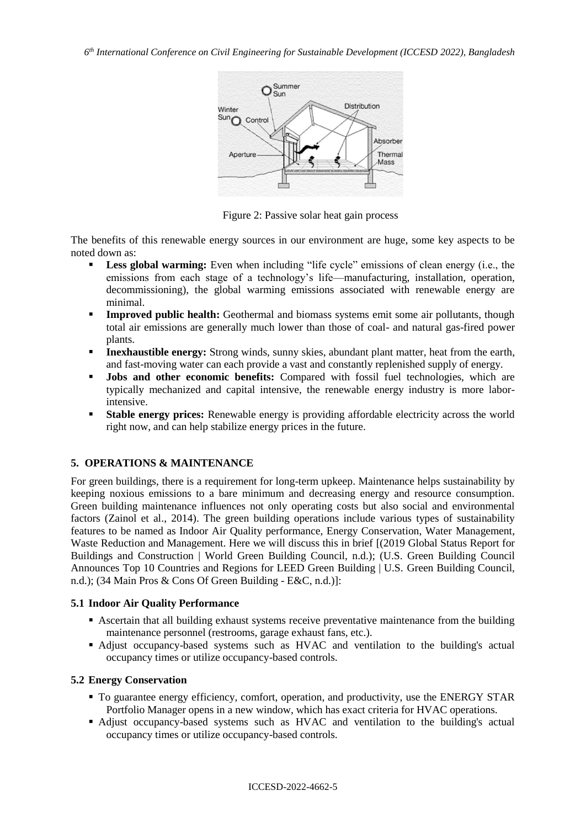

Figure 2: Passive solar heat gain process

The benefits of this renewable energy sources in our environment are huge, some key aspects to be noted down as:

- Less global warming: Even when including "life cycle" emissions of clean energy (i.e., the emissions from each stage of a technology's life—manufacturing, installation, operation, decommissioning), the global warming emissions associated with renewable energy are minimal.
- **Improved public health:** Geothermal and biomass systems emit some air pollutants, though total air emissions are generally much lower than those of coal- and natural gas-fired power plants.
- **Inexhaustible energy:** Strong winds, sunny skies, abundant plant matter, heat from the earth, and fast-moving water can each provide a vast and constantly replenished supply of energy.
- **Jobs and other economic benefits:** Compared with fossil fuel technologies, which are typically mechanized and capital intensive, the renewable energy industry is more laborintensive.
- **Stable energy prices:** Renewable energy is providing affordable electricity across the world right now, and can help stabilize energy prices in the future.

# **5. OPERATIONS & MAINTENANCE**

For green buildings, there is a requirement for long-term upkeep. Maintenance helps sustainability by keeping noxious emissions to a bare minimum and decreasing energy and resource consumption. Green building maintenance influences not only operating costs but also social and environmental factors (Zainol et al., 2014). The green building operations include various types of sustainability features to be named as Indoor Air Quality performance, Energy Conservation, Water Management, Waste Reduction and Management. Here we will discuss this in brief [(2019 Global Status Report for Buildings and Construction | World Green Building Council, n.d.); (U.S. Green Building Council Announces Top 10 Countries and Regions for LEED Green Building | U.S. Green Building Council, n.d.); (34 Main Pros & Cons Of Green Building - E&C, n.d.)]:

### **5.1 Indoor Air Quality Performance**

- Ascertain that all building exhaust systems receive preventative maintenance from the building maintenance personnel (restrooms, garage exhaust fans, etc.).
- Adjust occupancy-based systems such as HVAC and ventilation to the building's actual occupancy times or utilize occupancy-based controls.

#### **5.2 Energy Conservation**

- To guarantee energy efficiency, comfort, operation, and productivity, use the ENERGY STAR Portfolio Manager opens in a new window, which has exact criteria for HVAC operations.
- Adjust occupancy-based systems such as HVAC and ventilation to the building's actual occupancy times or utilize occupancy-based controls.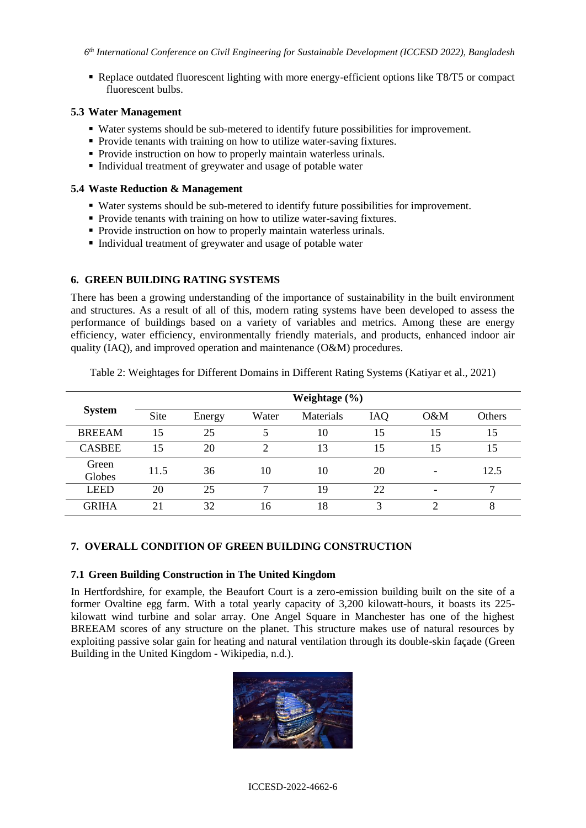Replace outdated fluorescent lighting with more energy-efficient options like T8/T5 or compact fluorescent bulbs.

# **5.3 Water Management**

- Water systems should be sub-metered to identify future possibilities for improvement.
- Provide tenants with training on how to utilize water-saving fixtures.
- Provide instruction on how to properly maintain waterless urinals.
- Individual treatment of greywater and usage of potable water

### **5.4 Waste Reduction & Management**

- Water systems should be sub-metered to identify future possibilities for improvement.
- Provide tenants with training on how to utilize water-saving fixtures.
- Provide instruction on how to properly maintain waterless urinals.
- Individual treatment of greywater and usage of potable water

# **6. GREEN BUILDING RATING SYSTEMS**

There has been a growing understanding of the importance of sustainability in the built environment and structures. As a result of all of this, modern rating systems have been developed to assess the performance of buildings based on a variety of variables and metrics. Among these are energy efficiency, water efficiency, environmentally friendly materials, and products, enhanced indoor air quality (IAQ), and improved operation and maintenance (O&M) procedures.

|                 | Weightage $(\% )$ |        |       |           |     |     |               |
|-----------------|-------------------|--------|-------|-----------|-----|-----|---------------|
| <b>System</b>   | <b>Site</b>       | Energy | Water | Materials | IAQ | O&M | <b>Others</b> |
| <b>BREEAM</b>   | 15                | 25     |       | 10        | 15  | 15  | 15            |
| <b>CASBEE</b>   | 15                | 20     | ◠     | 13        | 15  | 15  | 15            |
| Green<br>Globes | 11.5              | 36     | 10    | 10        | 20  |     | 12.5          |
| <b>LEED</b>     | 20                | 25     |       | 19        | 22  |     | ⇁             |
| <b>GRIHA</b>    | 21                | 32     | 16    | 18        | 3   | ◠   | 8             |

Table 2: Weightages for Different Domains in Different Rating Systems (Katiyar et al., 2021)

# **7. OVERALL CONDITION OF GREEN BUILDING CONSTRUCTION**

#### **7.1 Green Building Construction in The United Kingdom**

In Hertfordshire, for example, the Beaufort Court is a zero-emission building built on the site of a former Ovaltine egg farm. With a total yearly capacity of 3,200 kilowatt-hours, it boasts its 225 kilowatt wind turbine and solar array. One Angel Square in Manchester has one of the highest BREEAM scores of any structure on the planet. This structure makes use of natural resources by exploiting passive solar gain for heating and natural ventilation through its double-skin façade (Green Building in the United Kingdom - Wikipedia, n.d.).

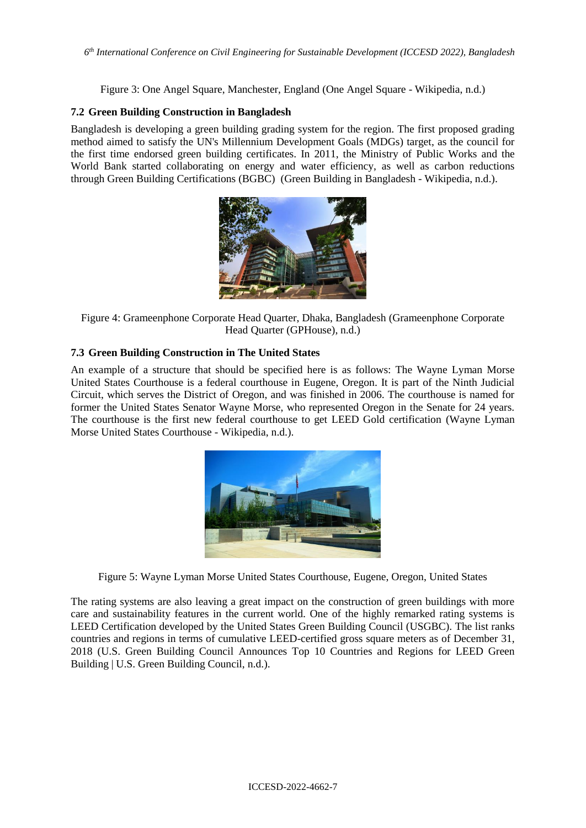Figure 3: One Angel Square, Manchester, England (One Angel Square - Wikipedia, n.d.)

# **7.2 Green Building Construction in Bangladesh**

Bangladesh is developing a green building grading system for the region. The first proposed grading method aimed to satisfy the UN's Millennium Development Goals (MDGs) target, as the council for the first time endorsed green building certificates. In 2011, the Ministry of Public Works and the World Bank started collaborating on energy and water efficiency, as well as carbon reductions through Green Building Certifications (BGBC) (Green Building in Bangladesh - Wikipedia, n.d.).



Figure 4: Grameenphone Corporate Head Quarter, Dhaka, Bangladesh (Grameenphone Corporate Head Quarter (GPHouse), n.d.)

# **7.3 Green Building Construction in The United States**

An example of a structure that should be specified here is as follows: The Wayne Lyman Morse United States Courthouse is a federal courthouse in Eugene, Oregon. It is part of the Ninth Judicial Circuit, which serves the District of Oregon, and was finished in 2006. The courthouse is named for former the United States Senator Wayne Morse, who represented Oregon in the Senate for 24 years. The courthouse is the first new federal courthouse to get LEED Gold certification (Wayne Lyman Morse United States Courthouse - Wikipedia, n.d.).



Figure 5: Wayne Lyman Morse United States Courthouse, Eugene, Oregon, United States

The rating systems are also leaving a great impact on the construction of green buildings with more care and sustainability features in the current world. One of the highly remarked rating systems is LEED Certification developed by the United States Green Building Council (USGBC). The list ranks countries and regions in terms of cumulative LEED-certified gross square meters as of December 31, 2018 (U.S. Green Building Council Announces Top 10 Countries and Regions for LEED Green Building | U.S. Green Building Council, n.d.).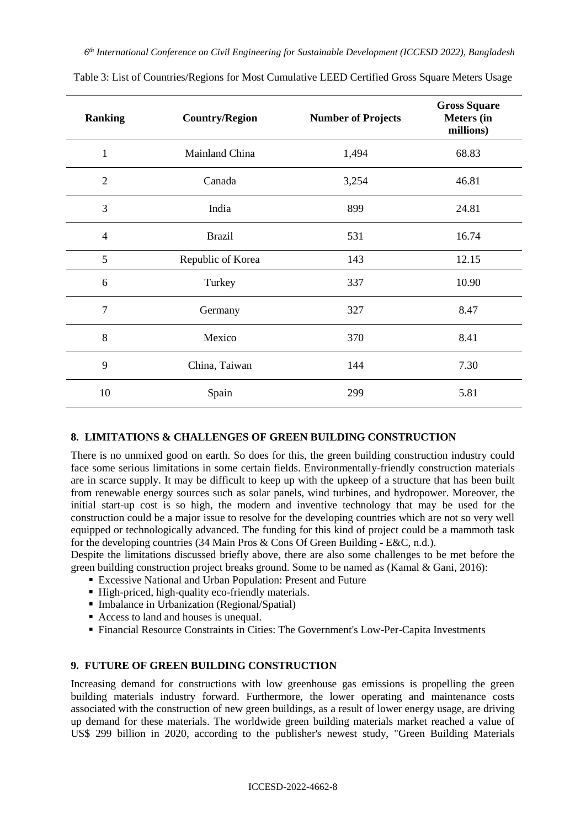| <b>Ranking</b> | <b>Country/Region</b> | <b>Number of Projects</b> | <b>Gross Square</b><br><b>Meters</b> (in<br>millions) |
|----------------|-----------------------|---------------------------|-------------------------------------------------------|
| $\mathbf{1}$   | Mainland China        | 1,494                     | 68.83                                                 |
| $\overline{2}$ | Canada                | 3,254                     | 46.81                                                 |
| 3              | India                 | 899                       | 24.81                                                 |
| $\overline{4}$ | <b>Brazil</b>         | 531                       | 16.74                                                 |
| 5              | Republic of Korea     | 143                       | 12.15                                                 |
| 6              | Turkey                | 337                       | 10.90                                                 |
| $\overline{7}$ | Germany               | 327                       | 8.47                                                  |
| 8              | Mexico                | 370                       | 8.41                                                  |
| 9              | China, Taiwan         | 144                       | 7.30                                                  |
| 10             | Spain                 | 299                       | 5.81                                                  |

Table 3: List of Countries/Regions for Most Cumulative LEED Certified Gross Square Meters Usage

# **8. LIMITATIONS & CHALLENGES OF GREEN BUILDING CONSTRUCTION**

There is no unmixed good on earth. So does for this, the green building construction industry could face some serious limitations in some certain fields. Environmentally-friendly construction materials are in scarce supply. It may be difficult to keep up with the upkeep of a structure that has been built from renewable energy sources such as solar panels, wind turbines, and hydropower. Moreover, the initial start-up cost is so high, the modern and inventive technology that may be used for the construction could be a major issue to resolve for the developing countries which are not so very well equipped or technologically advanced. The funding for this kind of project could be a mammoth task for the developing countries (34 Main Pros & Cons Of Green Building - E&C, n.d.).

Despite the limitations discussed briefly above, there are also some challenges to be met before the green building construction project breaks ground. Some to be named as (Kamal & Gani, 2016):

- Excessive National and Urban Population: Present and Future
- High-priced, high-quality eco-friendly materials.
- Imbalance in Urbanization (Regional/Spatial)
- Access to land and houses is unequal.
- Financial Resource Constraints in Cities: The Government's Low-Per-Capita Investments

# **9. FUTURE OF GREEN BUILDING CONSTRUCTION**

Increasing demand for constructions with low greenhouse gas emissions is propelling the green building materials industry forward. Furthermore, the lower operating and maintenance costs associated with the construction of new green buildings, as a result of lower energy usage, are driving up demand for these materials. The worldwide green building materials market reached a value of US\$ 299 billion in 2020, according to the publisher's newest study, "Green Building Materials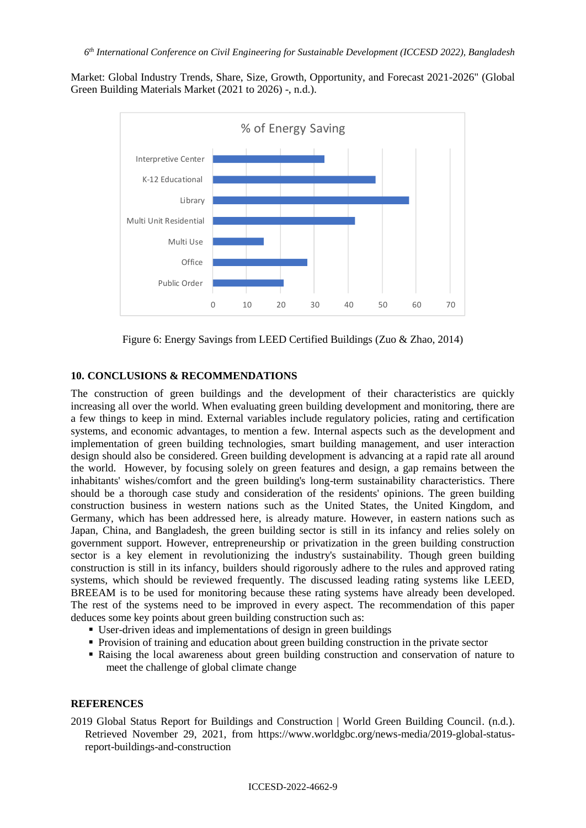Market: Global Industry Trends, Share, Size, Growth, Opportunity, and Forecast 2021-2026" (Global Green Building Materials Market (2021 to 2026) -, n.d.).



Figure 6: Energy Savings from LEED Certified Buildings (Zuo & Zhao, 2014)

# **10. CONCLUSIONS & RECOMMENDATIONS**

The construction of green buildings and the development of their characteristics are quickly increasing all over the world. When evaluating green building development and monitoring, there are a few things to keep in mind. External variables include regulatory policies, rating and certification systems, and economic advantages, to mention a few. Internal aspects such as the development and implementation of green building technologies, smart building management, and user interaction design should also be considered. Green building development is advancing at a rapid rate all around the world. However, by focusing solely on green features and design, a gap remains between the inhabitants' wishes/comfort and the green building's long-term sustainability characteristics. There should be a thorough case study and consideration of the residents' opinions. The green building construction business in western nations such as the United States, the United Kingdom, and Germany, which has been addressed here, is already mature. However, in eastern nations such as Japan, China, and Bangladesh, the green building sector is still in its infancy and relies solely on government support. However, entrepreneurship or privatization in the green building construction sector is a key element in revolutionizing the industry's sustainability. Though green building construction is still in its infancy, builders should rigorously adhere to the rules and approved rating systems, which should be reviewed frequently. The discussed leading rating systems like LEED, BREEAM is to be used for monitoring because these rating systems have already been developed. The rest of the systems need to be improved in every aspect. The recommendation of this paper deduces some key points about green building construction such as:

- User-driven ideas and implementations of design in green buildings
- Provision of training and education about green building construction in the private sector
- Raising the local awareness about green building construction and conservation of nature to meet the challenge of global climate change

# **REFERENCES**

2019 Global Status Report for Buildings and Construction | World Green Building Council. (n.d.). Retrieved November 29, 2021, from https://www.worldgbc.org/news-media/2019-global-statusreport-buildings-and-construction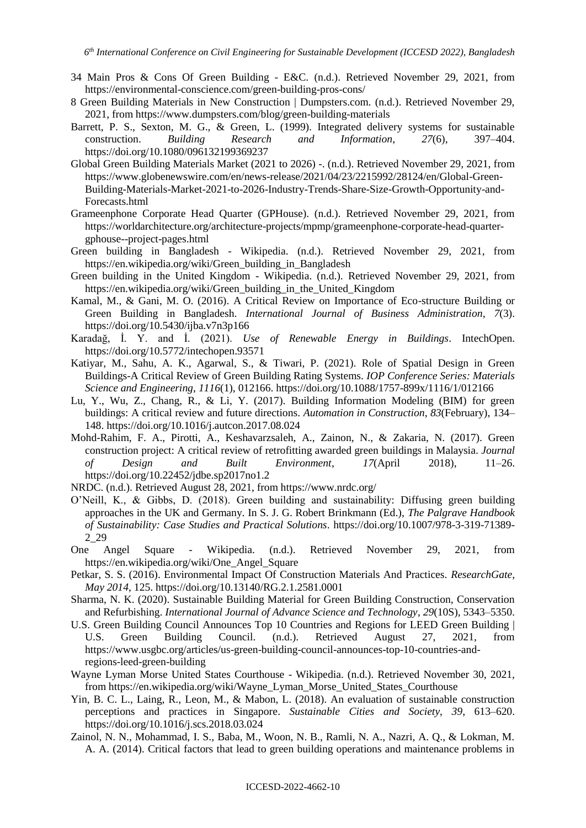- 34 Main Pros & Cons Of Green Building E&C. (n.d.). Retrieved November 29, 2021, from https://environmental-conscience.com/green-building-pros-cons/
- 8 Green Building Materials in New Construction | Dumpsters.com. (n.d.). Retrieved November 29, 2021, from https://www.dumpsters.com/blog/green-building-materials
- Barrett, P. S., Sexton, M. G., & Green, L. (1999). Integrated delivery systems for sustainable construction. *Building Research and Information*, *27*(6), 397–404. https://doi.org/10.1080/096132199369237
- Global Green Building Materials Market (2021 to 2026) *-*. (n.d.). Retrieved November 29, 2021, from https://www.globenewswire.com/en/news-release/2021/04/23/2215992/28124/en/Global-Green-Building-Materials-Market-2021-to-2026-Industry-Trends-Share-Size-Growth-Opportunity-and-Forecasts.html
- Grameenphone Corporate Head Quarter (GPHouse). (n.d.). Retrieved November 29, 2021, from https://worldarchitecture.org/architecture-projects/mpmp/grameenphone-corporate-head-quartergphouse--project-pages.html
- Green building in Bangladesh Wikipedia. (n.d.). Retrieved November 29, 2021, from https://en.wikipedia.org/wiki/Green\_building\_in\_Bangladesh
- Green building in the United Kingdom Wikipedia. (n.d.). Retrieved November 29, 2021, from https://en.wikipedia.org/wiki/Green\_building\_in\_the\_United\_Kingdom
- Kamal, M., & Gani, M. O. (2016). A Critical Review on Importance of Eco-structure Building or Green Building in Bangladesh. *International Journal of Business Administration*, *7*(3). https://doi.org/10.5430/ijba.v7n3p166
- Karadağ, İ. Y. and İ. (2021). *Use of Renewable Energy in Buildings*. IntechOpen. https://doi.org/10.5772/intechopen.93571
- Katiyar, M., Sahu, A. K., Agarwal, S., & Tiwari, P. (2021). Role of Spatial Design in Green Buildings-A Critical Review of Green Building Rating Systems. *IOP Conference Series: Materials Science and Engineering*, *1116*(1), 012166. https://doi.org/10.1088/1757-899x/1116/1/012166
- Lu, Y., Wu, Z., Chang, R., & Li, Y. (2017). Building Information Modeling (BIM) for green buildings: A critical review and future directions. *Automation in Construction*, *83*(February), 134– 148. https://doi.org/10.1016/j.autcon.2017.08.024
- Mohd-Rahim, F. A., Pirotti, A., Keshavarzsaleh, A., Zainon, N., & Zakaria, N. (2017). Green construction project: A critical review of retrofitting awarded green buildings in Malaysia. *Journal of Design and Built Environment*, *17*(April 2018), 11–26. https://doi.org/10.22452/jdbe.sp2017no1.2
- NRDC. (n.d.). Retrieved August 28, 2021, from https://www.nrdc.org/
- O'Neill, K., & Gibbs, D. (2018). Green building and sustainability: Diffusing green building approaches in the UK and Germany. In S. J. G. Robert Brinkmann (Ed.), *The Palgrave Handbook of Sustainability: Case Studies and Practical Solutions*. https://doi.org/10.1007/978-3-319-71389- 2\_29
- One Angel Square Wikipedia. (n.d.). Retrieved November 29, 2021, from https://en.wikipedia.org/wiki/One\_Angel\_Square
- Petkar, S. S. (2016). Environmental Impact Of Construction Materials And Practices. *ResearchGate*, *May 2014*, 125. https://doi.org/10.13140/RG.2.1.2581.0001
- Sharma, N. K. (2020). Sustainable Building Material for Green Building Construction, Conservation and Refurbishing. *International Journal of Advance Science and Technology*, *29*(10S), 5343–5350.
- U.S. Green Building Council Announces Top 10 Countries and Regions for LEED Green Building | U.S. Green Building Council. (n.d.). Retrieved August 27, 2021, from https://www.usgbc.org/articles/us-green-building-council-announces-top-10-countries-andregions-leed-green-building
- Wayne Lyman Morse United States Courthouse Wikipedia. (n.d.). Retrieved November 30, 2021, from https://en.wikipedia.org/wiki/Wayne\_Lyman\_Morse\_United\_States\_Courthouse
- Yin, B. C. L., Laing, R., Leon, M., & Mabon, L. (2018). An evaluation of sustainable construction perceptions and practices in Singapore. *Sustainable Cities and Society*, *39*, 613–620. https://doi.org/10.1016/j.scs.2018.03.024
- Zainol, N. N., Mohammad, I. S., Baba, M., Woon, N. B., Ramli, N. A., Nazri, A. Q., & Lokman, M. A. A. (2014). Critical factors that lead to green building operations and maintenance problems in